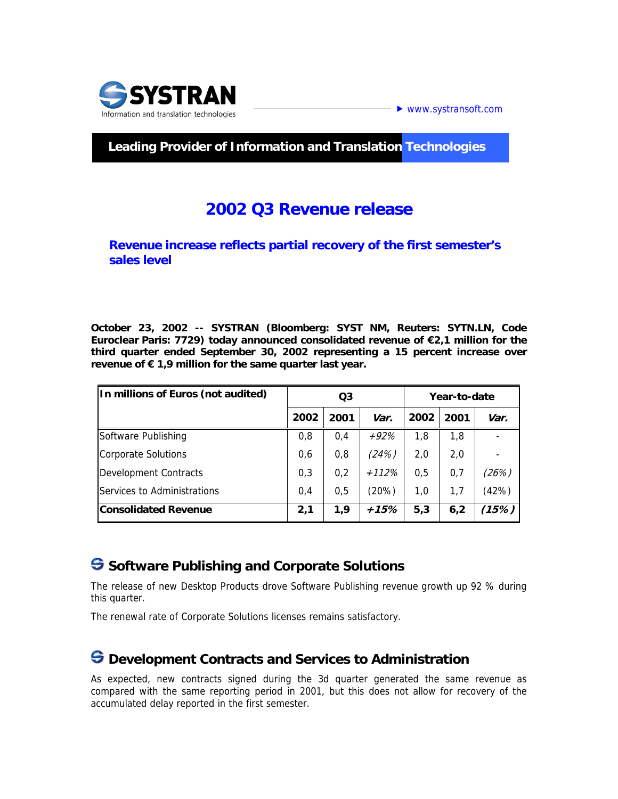

### **Leading Provider of Information and Translation Technologies**

# **2002 Q3 Revenue release**

**Revenue increase reflects partial recovery of the first semester's sales level** 

**October 23, 2002 -- SYSTRAN (Bloomberg: SYST NM, Reuters: SYTN.LN, Code Euroclear Paris: 7729) today announced consolidated revenue of €2,1 million for the third quarter ended September 30, 2002 representing a 15 percent increase over revenue of € 1,9 million for the same quarter last year.** 

| In millions of Euros (not audited) | Q3   |      |         | Year-to-date |      |       |
|------------------------------------|------|------|---------|--------------|------|-------|
|                                    | 2002 | 2001 | Var.    | 2002         | 2001 | Var.  |
| Software Publishing                | 0,8  | 0,4  | $+92%$  | 1,8          | 1,8  |       |
| Corporate Solutions                | 0,6  | 0,8  | (24%)   | 2,0          | 2,0  |       |
| Development Contracts              | 0,3  | 0,2  | $+112%$ | 0,5          | 0,7  | (26%) |
| Services to Administrations        | 0.4  | 0.5  | (20%)   | 1,0          | 1,7  | (42%) |
| <b>Consolidated Revenue</b>        | 2,1  | 1.9  | +15%    | 5,3          | 6,2  | (15%) |

## $\bigodot$  **Software Publishing and Corporate Solutions**

The release of new Desktop Products drove Software Publishing revenue growth up 92 % during this quarter.

The renewal rate of Corporate Solutions licenses remains satisfactory.

## $\bigodot$  Development Contracts and Services to Administration

As expected, new contracts signed during the 3d quarter generated the same revenue as compared with the same reporting period in 2001, but this does not allow for recovery of the accumulated delay reported in the first semester.